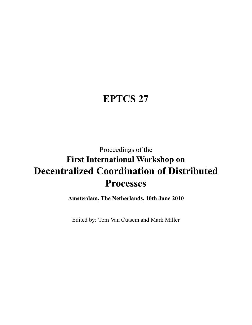## <span id="page-0-0"></span>**EPTCS 27**

# Proceedings of the **First International Workshop on Decentralized Coordination of Distributed Processes**

**Amsterdam, The Netherlands, 10th June 2010**

<span id="page-0-1"></span>Edited by: Tom Van Cutsem and Mark Miller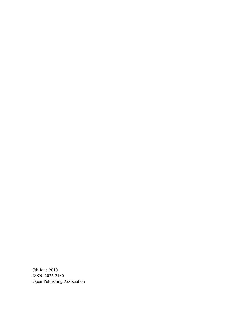<span id="page-1-4"></span><span id="page-1-3"></span><span id="page-1-2"></span><span id="page-1-1"></span><span id="page-1-0"></span>7th June 2010 ISSN: 2075-2180 Open Publishing Association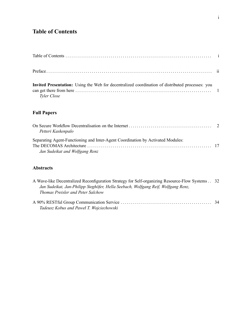### **Table of Contents**

| Invited Presentation: Using the Web for decentralized coordination of distributed processes: you<br>Tyler Close |  |
|-----------------------------------------------------------------------------------------------------------------|--|

#### **Full Papers**

| Petteri Kaskenpalo                                                              |  |
|---------------------------------------------------------------------------------|--|
| Separating Agent-Functioning and Inter-Agent Coordination by Activated Modules: |  |
|                                                                                 |  |
| Jan Sudeikat and Wolfgang Renz                                                  |  |

#### **Abstracts**

| A Wave-like Decentralized Reconfiguration Strategy for Self-organizing Resource-Flow Systems . 32 |  |
|---------------------------------------------------------------------------------------------------|--|
| Jan Sudeikat, Jan-Philipp Steghöfer, Hella Seebach, Wolfgang Reif, Wolfgang Renz,                 |  |
| Thomas Preisler and Peter Salchow                                                                 |  |
|                                                                                                   |  |
| Tadeusz Kobus and Paweł T. Wojciechowski                                                          |  |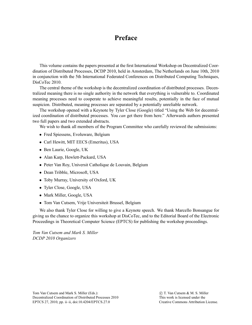### **Preface**

This volume contains the papers presented at the first International Workshop on Decentralized Coordination of Distributed Processes, DCDP 2010, held in Amsterdam, The Netherlands on June 10th, 2010 in conjunction with the 5th International Federated Conferences on Distributed Computing Techniques, DisCoTec 2010.

The central theme of the workshop is the decentralized coordination of distributed processes. Decentralized meaning there is no single authority in the network that everything is vulnerable to. Coordinated meaning processes need to cooperate to achieve meaningful results, potentially in the face of mutual suspicion. Distributed, meaning processes are separated by a potentially unreliable network.

The workshop opened with a Keynote by Tyler Close (Google) titled "Using the Web for decentralized coordination of distributed processes. You *can* get there from here." Afterwards authors presented two full papers and two extended abstracts.

We wish to thank all members of the Program Committee who carefully reviewed the submissions:

- Fred Spiessens, Evoluware, Belgium
- Carl Hewitt, MIT EECS (Emeritus), USA
- Ben Laurie, Google, UK
- Alan Karp, Hewlett-Packard, USA
- Peter Van Roy, Universit Catholique de Louvain, Belgium
- Dean Tribble, Microsoft, USA
- Toby Murray, University of Oxford, UK
- Tyler Close, Google, USA
- Mark Miller, Google, USA
- Tom Van Cutsem, Vrije Universiteit Brussel, Belgium

We also thank Tyler Close for willing to give a Keynote speech. We thank Marcello Bonsangue for giving us the chance to organize this workshop at DisCoTec, and to the Editorial Board of the Electronic Proceedings in Theoretical Computer Science (EPTCS) for publishing the workshop proceedings.

*Tom Van Cutsem and Mark S. Miller DCDP 2010 Organizers*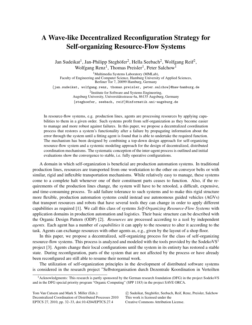### A Wave-like Decentralized Reconfiguration Strategy for Self-organizing Resource-Flow Systems

Jan Sudeikat<sup>1</sup>, Jan-Philipp Steghöfer<sup>2</sup>, Hella Seebach<sup>2</sup>, Wolfgang Reif<sup>2</sup>, Wolfgang Renz<sup>1</sup>, Thomas Preisler<sup>1</sup>, Peter Salchow<sup>1</sup>

<sup>1</sup>Multimedia Systems Laboratory (MMLab), Faculty of Engineering and Computer Science, Hamburg University of Applied Sciences, Berliner Tor 7, 20099 Hamburg, Germany

{jan.sudeikat, wolfgang.renz, thomas.preisler, peter.salchow}@haw-hamburg.de

<sup>2</sup>Institute for Software and Systems Engineering, Augsburg University, Universitätsstrasse 6a, 86135 Augsburg, Germany {steghoefer, seebach, reif}@informatik.uni-augsburg.de

In resource-flow systems, e.g. production lines, agents are processing resources by applying capabilities to them in a given order. Such systems profit from self-organization as they become easier to manage and more robust against failures. In this paper, we propose a decentralized coordination process that restores a system's functionality after a failure by propagating information about the error through the system until a fitting agent is found that is able to undertake the required function. The mechanism has been designed by combining a top-down design approach for self-organizing resource-flow system and a systemic modeling approach for the design of decentralized, distributed coordination mechanisms. The systematic conception of the inter-agent process is outlined and initial evaluations show the convergence to stable, i.e. fully operative configurations.

A domain in which self-organization is beneficial are production automation systems. In traditional production lines, resources are transported from one workstation to the other on conveyor belts or with similar, rigid and inflexible transportation mechanisms. While relatively easy to manage, these systems come to a complete halt whenever one of their constituent parts ceases to function. Also, if the requirements of the production lines change, the system will have to be retooled, a difficult, expensive, and time-consuming process. To add failure tolerance to such systems and to make this rigid structure more flexible, production automation systems could instead use autonomous guided vehicles (AGVs) that transport resources and robots that have several tools they can change in order to apply different capabilities as required [\[1\]](#page-1-1). We call this class of systems *Self-Organizing Resource-Flow Systems* with application domains in production automation and logistics. Their basic structure can be described with the Organic Design Pattern (ODP) [\[2\]](#page-1-2). *Resources* are processed according to a *task* by independent *agents*. Each agent has a number of *capabilities* it can apply to the resource to alter it according to the task. Agents can exchange resources with other agents as, e.g., given by the layout of a shop floor.

In this paper, we propose a decentralized, self-organizing process for the class of self-organizing resource-flow systems. This process is analyzed and modeled with the tools provided by the SodekoVS<sup>[1](#page-0-1)</sup> project [\[3\]](#page-1-3). Agents change their local configurations until the system in its entirety has restored a stable state. During reconfiguration, parts of the system that are not affected by the process or have already been reconfigured are still able to resume their normal work.

The utilization of self-organization principles in the development of distributed software systems is considered in the research project "Selbstorganisation durch Dezentrale Koordination in Verteilten

Tom Van Cutsem and Mark S. Miller (Eds.): Decentralized Coordination of Distributed Processes 2010 EPTCS 27, 2010, pp. 32[–33,](#page-1-0) doi[:10.4204/EPTCS.27.4](http://dx.doi.org/10.4204/EPTCS.27.4)

 c Sudeikat, Steghofer, Seebach, Reif, Renz, Preisler, Salchow ¨ This work is licensed under the

[Creative Commons](http://creativecommons.org) [Attribution](http://creativecommons.org/licenses/by/3.0/) License.

<sup>&</sup>lt;sup>1</sup>Acknowledgments: This research is partly sponsored by the German research foundation (DFG) in the project SodekoVS and in the DFG special priority program "Organic Computing" (SPP 1183) in the project SAVE ORCA.